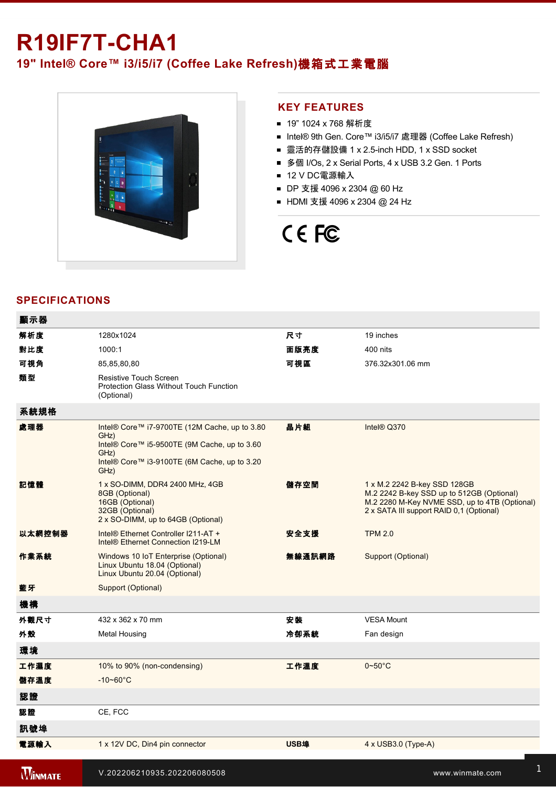# **R19IF7T-CHA1**

# **19" Intel® Core™ i3/i5/i7 (Coffee Lake Refresh)**機箱式工業電腦



### **KEY FEATURES**

- 19" 1024 x 768 解析度
- Intel® 9th Gen. Core™ i3/i5/i7 處理器 (Coffee Lake Refresh)
- 靈活的存儲設備 1 x 2.5-inch HDD, 1 x SSD socket
- 多個 I/Os, 2 x Serial Ports, 4 x USB 3.2 Gen. 1 Ports
- 12 V DC電源輸入
- DP 支援 4096 x 2304 @ 60 Hz
- HDMI 支援 4096 x 2304 @ 24 Hz

# CE FC

## **SPECIFICATIONS**

| 顯示器            |                                                                                                                                                                       |             |                                                                                                                                                                        |
|----------------|-----------------------------------------------------------------------------------------------------------------------------------------------------------------------|-------------|------------------------------------------------------------------------------------------------------------------------------------------------------------------------|
| 解析度            | 1280x1024                                                                                                                                                             | 尺寸          | 19 inches                                                                                                                                                              |
| 對比度            | 1000:1                                                                                                                                                                | 面版亮度        | 400 nits                                                                                                                                                               |
| 可視角            | 85,85,80,80                                                                                                                                                           | 可視區         | 376.32x301.06 mm                                                                                                                                                       |
| 類型             | Resistive Touch Screen<br>Protection Glass Without Touch Function<br>(Optional)                                                                                       |             |                                                                                                                                                                        |
| 系統規格           |                                                                                                                                                                       |             |                                                                                                                                                                        |
| 處理器            | Intel® Core™ i7-9700TE (12M Cache, up to 3.80<br>GHz)<br>Intel® Core™ i5-9500TE (9M Cache, up to 3.60<br>GHz)<br>Intel® Core™ i3-9100TE (6M Cache, up to 3.20<br>GHz) | 晶片組         | Intel® Q370                                                                                                                                                            |
| 記憶體            | 1 x SO-DIMM, DDR4 2400 MHz, 4GB<br>8GB (Optional)<br>16GB (Optional)<br>32GB (Optional)<br>2 x SO-DIMM, up to 64GB (Optional)                                         | 儲存空間        | 1 x M.2 2242 B-key SSD 128GB<br>M.2 2242 B-key SSD up to 512GB (Optional)<br>M.2 2280 M-Key NVME SSD, up to 4TB (Optional)<br>2 x SATA III support RAID 0,1 (Optional) |
| 以太網控制器         | Intel® Ethernet Controller I211-AT +<br>Intel® Ethernet Connection I219-LM                                                                                            | 安全支援        | <b>TPM 2.0</b>                                                                                                                                                         |
| 作業系統           | Windows 10 IoT Enterprise (Optional)<br>Linux Ubuntu 18.04 (Optional)<br>Linux Ubuntu 20.04 (Optional)                                                                | 無線通訊網路      | Support (Optional)                                                                                                                                                     |
| 藍牙             | Support (Optional)                                                                                                                                                    |             |                                                                                                                                                                        |
| 機構             |                                                                                                                                                                       |             |                                                                                                                                                                        |
| 外觀尺寸           | 432 x 362 x 70 mm                                                                                                                                                     | 安装          | <b>VESA Mount</b>                                                                                                                                                      |
| 外殼             | <b>Metal Housing</b>                                                                                                                                                  | 冷卻系統        | Fan design                                                                                                                                                             |
| 環境             |                                                                                                                                                                       |             |                                                                                                                                                                        |
| 工作濕度           | 10% to 90% (non-condensing)                                                                                                                                           | 工作溫度        | $0 - 50^{\circ}$ C                                                                                                                                                     |
| 儲存溫度           | $-10 - 60^{\circ}$ C                                                                                                                                                  |             |                                                                                                                                                                        |
| 認證             |                                                                                                                                                                       |             |                                                                                                                                                                        |
| 認證             | CE, FCC                                                                                                                                                               |             |                                                                                                                                                                        |
| 訊號埠            |                                                                                                                                                                       |             |                                                                                                                                                                        |
| 電源輸入           | 1 x 12V DC, Din4 pin connector                                                                                                                                        | <b>USB埠</b> | $4 \times$ USB3.0 (Type-A)                                                                                                                                             |
| <b>WINMATE</b> | V.202206210935.202206080508                                                                                                                                           |             | www.winmate.com                                                                                                                                                        |